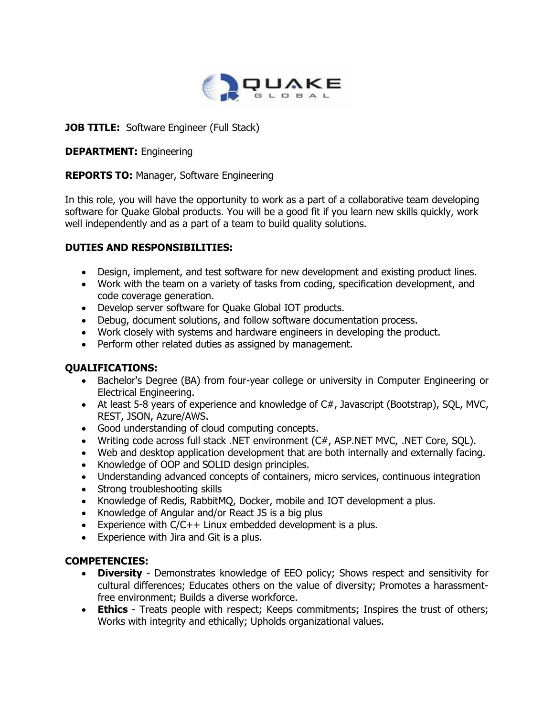

# **JOB TITLE:** Software Engineer (Full Stack)

#### **DEPARTMENT:** Engineering

# **REPORTS TO:** Manager, Software Engineering

In this role, you will have the opportunity to work as a part of a collaborative team developing software for Quake Global products. You will be a good fit if you learn new skills quickly, work well independently and as a part of a team to build quality solutions.

## **DUTIES AND RESPONSIBILITIES:**

- Design, implement, and test software for new development and existing product lines.
- Work with the team on a variety of tasks from coding, specification development, and code coverage generation.
- Develop server software for Quake Global IOT products.
- Debug, document solutions, and follow software documentation process.
- Work closely with systems and hardware engineers in developing the product.
- Perform other related duties as assigned by management.

# **QUALIFICATIONS:**

- Bachelor's Degree (BA) from four-year college or university in Computer Engineering or Electrical Engineering.
- At least 5-8 years of experience and knowledge of C#, Javascript (Bootstrap), SQL, MVC, REST, JSON, Azure/AWS.
- Good understanding of cloud computing concepts.
- Writing code across full stack .NET environment (C#, ASP.NET MVC, .NET Core, SQL).
- Web and desktop application development that are both internally and externally facing.
- Knowledge of OOP and SOLID design principles.
- Understanding advanced concepts of containers, micro services, continuous integration
- Strong troubleshooting skills
- Knowledge of Redis, RabbitMQ, Docker, mobile and IOT development a plus.
- Knowledge of Angular and/or React JS is a big plus
- Experience with C/C++ Linux embedded development is a plus.
- Experience with Jira and Git is a plus.

#### **COMPETENCIES:**

- **Diversity** Demonstrates knowledge of EEO policy; Shows respect and sensitivity for cultural differences; Educates others on the value of diversity; Promotes a harassmentfree environment; Builds a diverse workforce.
- **Ethics** Treats people with respect; Keeps commitments; Inspires the trust of others; Works with integrity and ethically; Upholds organizational values.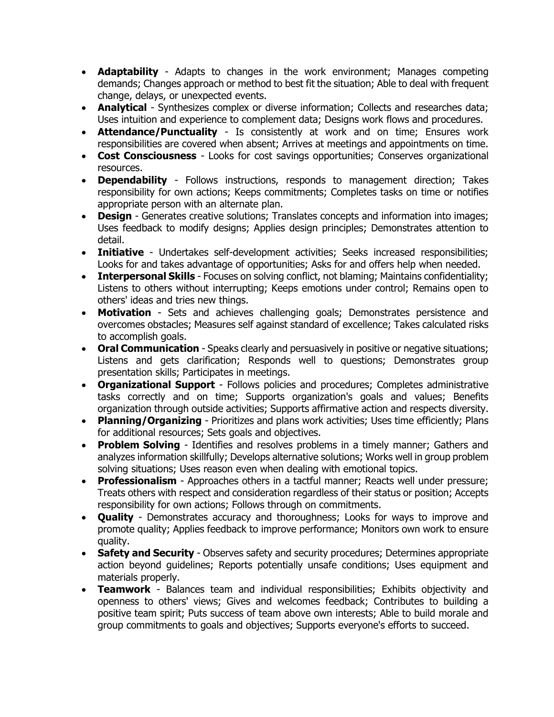- **Adaptability** Adapts to changes in the work environment; Manages competing demands; Changes approach or method to best fit the situation; Able to deal with frequent change, delays, or unexpected events.
- **Analytical** Synthesizes complex or diverse information; Collects and researches data; Uses intuition and experience to complement data; Designs work flows and procedures.
- **Attendance/Punctuality** Is consistently at work and on time; Ensures work responsibilities are covered when absent; Arrives at meetings and appointments on time.
- **Cost Consciousness** Looks for cost savings opportunities; Conserves organizational resources.
- **Dependability** Follows instructions, responds to management direction; Takes responsibility for own actions; Keeps commitments; Completes tasks on time or notifies appropriate person with an alternate plan.
- **Design** Generates creative solutions; Translates concepts and information into images; Uses feedback to modify designs; Applies design principles; Demonstrates attention to detail.
- **Initiative** Undertakes self-development activities; Seeks increased responsibilities; Looks for and takes advantage of opportunities; Asks for and offers help when needed.
- **Interpersonal Skills** Focuses on solving conflict, not blaming; Maintains confidentiality; Listens to others without interrupting; Keeps emotions under control; Remains open to others' ideas and tries new things.
- **Motivation** Sets and achieves challenging goals; Demonstrates persistence and overcomes obstacles; Measures self against standard of excellence; Takes calculated risks to accomplish goals.
- **Oral Communication** Speaks clearly and persuasively in positive or negative situations; Listens and gets clarification; Responds well to questions; Demonstrates group presentation skills; Participates in meetings.
- **Organizational Support** Follows policies and procedures; Completes administrative tasks correctly and on time; Supports organization's goals and values; Benefits organization through outside activities; Supports affirmative action and respects diversity.
- **Planning/Organizing** Prioritizes and plans work activities; Uses time efficiently; Plans for additional resources; Sets goals and objectives.
- **Problem Solving** Identifies and resolves problems in a timely manner; Gathers and analyzes information skillfully; Develops alternative solutions; Works well in group problem solving situations; Uses reason even when dealing with emotional topics.
- **Professionalism** Approaches others in a tactful manner; Reacts well under pressure; Treats others with respect and consideration regardless of their status or position; Accepts responsibility for own actions; Follows through on commitments.
- **Quality** Demonstrates accuracy and thoroughness; Looks for ways to improve and promote quality; Applies feedback to improve performance; Monitors own work to ensure quality.
- **Safety and Security** Observes safety and security procedures; Determines appropriate action beyond guidelines; Reports potentially unsafe conditions; Uses equipment and materials properly.
- **Teamwork** Balances team and individual responsibilities; Exhibits objectivity and openness to others' views; Gives and welcomes feedback; Contributes to building a positive team spirit; Puts success of team above own interests; Able to build morale and group commitments to goals and objectives; Supports everyone's efforts to succeed.